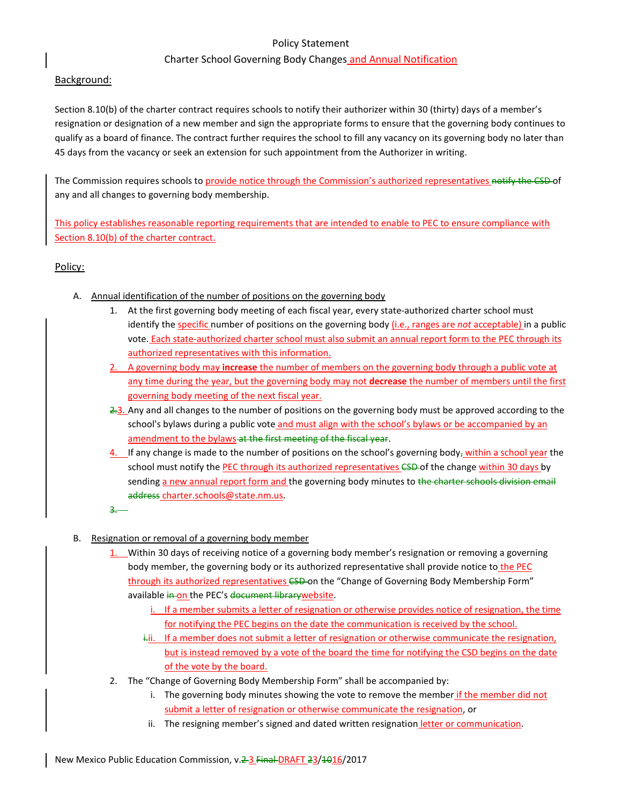# Policy Statement

# Charter School Governing Body Changes and Annual Notification

# Background:

Section 8.10(b) of the charter contract requires schools to notify their authorizer within 30 (thirty) days of a member's resignation or designation of a new member and sign the appropriate forms to ensure that the governing body continues to qualify as a board of finance. The contract further requires the school to fill any vacancy on its governing body no later than 45 days from the vacancy or seek an extension for such appointment from the Authorizer in writing.

The Commission requires schools to provide notice through the Commission's authorized representatives notify the CSD-of any and all changes to governing body membership.

This policy establishes reasonable reporting requirements that are intended to enable to PEC to ensure compliance with Section 8.10(b) of the charter contract.

# Policy:

- A. Annual identification of the number of positions on the governing body
	- 1. At the first governing body meeting of each fiscal year, every state-authorized charter school must identify the specific number of positions on the governing body (i.e., ranges are *not* acceptable) in a public vote. Each state-authorized charter school must also submit an annual report form to the PEC through its authorized representatives with this information.
	- 2. A governing body may **increase** the number of members on the governing body through a public vote at any time during the year, but the governing body may not **decrease** the number of members until the first governing body meeting of the next fiscal year.
	- 2.3. Any and all changes to the number of positions on the governing body must be approved according to the school's bylaws during a public vote and must align with the school's bylaws or be accompanied by an amendment to the bylaws at the first meeting of the fiscal year.
	- 4. If any change is made to the number of positions on the school's governing body<sub>r</sub> within a school year the school must notify the PEC through its authorized representatives CSD of the change within 30 days by sending a new annual report form and the governing body minutes to the charter schools division email address charter.schools@state.nm.us.
	- 3.
- B. Resignation or removal of a governing body member
	- 1. Within 30 days of receiving notice of a governing body member's resignation or removing a governing body member, the governing body or its authorized representative shall provide notice to the PEC through its authorized representatives CSD-on the "Change of Governing Body Membership Form" available in on the PEC's document librarywebsite.
		- i. If a member submits a letter of resignation or otherwise provides notice of resignation, the time for notifying the PEC begins on the date the communication is received by the school.
		- i.ii. If a member does not submit a letter of resignation or otherwise communicate the resignation, but is instead removed by a vote of the board the time for notifying the CSD begins on the date of the vote by the board.
	- 2. The "Change of Governing Body Membership Form" shall be accompanied by:
		- i. The governing body minutes showing the vote to remove the member if the member did not submit a letter of resignation or otherwise communicate the resignation, or
		- ii. The resigning member's signed and dated written resignation letter or communication.